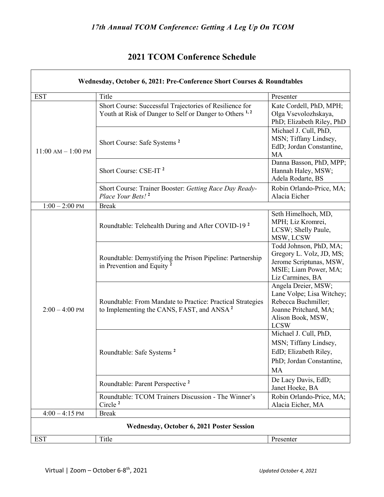## **2021 TCOM Conference Schedule**

| Wednesday, October 6, 2021: Pre-Conference Short Courses & Roundtables |                                                                                                                               |                                                                                                                                      |
|------------------------------------------------------------------------|-------------------------------------------------------------------------------------------------------------------------------|--------------------------------------------------------------------------------------------------------------------------------------|
| <b>EST</b>                                                             | Title                                                                                                                         | Presenter                                                                                                                            |
| $11:00$ AM $- 1:00$ PM                                                 | Short Course: Successful Trajectories of Resilience for<br>Youth at Risk of Danger to Self or Danger to Others <sup>1,2</sup> | Kate Cordell, PhD, MPH;<br>Olga Vsevolozhskaya,<br>PhD; Elizabeth Riley, PhD                                                         |
|                                                                        | Short Course: Safe Systems <sup>2</sup>                                                                                       | Michael J. Cull, PhD,<br>MSN; Tiffany Lindsey,<br>EdD; Jordan Constantine,<br>MA                                                     |
|                                                                        | Short Course: CSE-IT <sup>2</sup>                                                                                             | Danna Basson, PhD, MPP;<br>Hannah Haley, MSW;<br>Adela Rodarte, BS                                                                   |
|                                                                        | Short Course: Trainer Booster: Getting Race Day Ready-<br>Place Your Bets! <sup>2</sup>                                       | Robin Orlando-Price, MA;<br>Alacia Eicher                                                                                            |
| $1:00 - 2:00$ PM                                                       | <b>Break</b>                                                                                                                  |                                                                                                                                      |
| $2:00 - 4:00$ PM                                                       | Roundtable: Telehealth During and After COVID-19 <sup>2</sup>                                                                 | Seth Himelhoch, MD,<br>MPH; Liz Kromrei,<br>LCSW; Shelly Paule,<br>MSW, LCSW                                                         |
|                                                                        | Roundtable: Demystifying the Prison Pipeline: Partnership<br>in Prevention and Equity <sup>2</sup>                            | Todd Johnson, PhD, MA;<br>Gregory L. Volz, JD, MS;<br>Jerome Scriptunas, MSW,<br>MSIE; Liam Power, MA;<br>Liz Carmines, BA           |
|                                                                        | Roundtable: From Mandate to Practice: Practical Strategies<br>to Implementing the CANS, FAST, and ANSA <sup>2</sup>           | Angela Dreier, MSW;<br>Lane Volpe; Lisa Witchey;<br>Rebecca Buchmiller;<br>Joanne Pritchard, MA;<br>Alison Book, MSW,<br><b>LCSW</b> |
|                                                                        | Roundtable: Safe Systems <sup>2</sup>                                                                                         | Michael J. Cull, PhD,<br>MSN; Tiffany Lindsey,<br>EdD; Elizabeth Riley,<br>PhD; Jordan Constantine,<br>MA                            |
|                                                                        | Roundtable: Parent Perspective <sup>2</sup>                                                                                   | De Lacy Davis, EdD;<br>Janet Hoeke, BA                                                                                               |
|                                                                        | Roundtable: TCOM Trainers Discussion - The Winner's<br>Circle <sup>2</sup>                                                    | Robin Orlando-Price, MA;<br>Alacia Eicher, MA                                                                                        |
| $4:00 - 4:15$ PM                                                       | <b>Break</b>                                                                                                                  |                                                                                                                                      |
| Wednesday, October 6, 2021 Poster Session                              |                                                                                                                               |                                                                                                                                      |
| <b>EST</b>                                                             | Title                                                                                                                         | Presenter                                                                                                                            |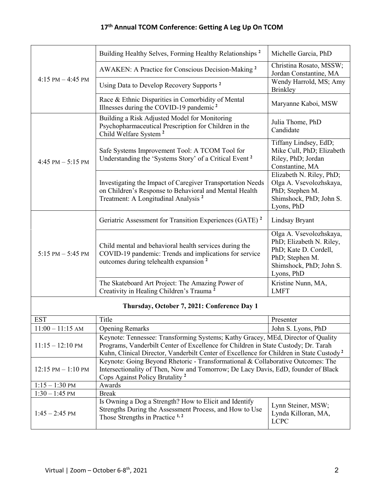| 4:15 PM $-$ 4:45 PM                         | Building Healthy Selves, Forming Healthy Relationships <sup>2</sup>                                                                                                                                                                                                           | Michelle Garcia, PhD                                                                                                                                                  |
|---------------------------------------------|-------------------------------------------------------------------------------------------------------------------------------------------------------------------------------------------------------------------------------------------------------------------------------|-----------------------------------------------------------------------------------------------------------------------------------------------------------------------|
|                                             | AWAKEN: A Practice for Conscious Decision-Making <sup>2</sup>                                                                                                                                                                                                                 | Christina Rosato, MSSW;<br>Jordan Constantine, MA                                                                                                                     |
|                                             | Using Data to Develop Recovery Supports <sup>2</sup>                                                                                                                                                                                                                          | Wendy Harrold, MS; Amy<br><b>Brinkley</b>                                                                                                                             |
|                                             | Race & Ethnic Disparities in Comorbidity of Mental<br>Illnesses during the COVID-19 pandemic <sup>2</sup>                                                                                                                                                                     | Maryanne Kaboi, MSW                                                                                                                                                   |
| 4:45 PM $-$ 5:15 PM                         | Building a Risk Adjusted Model for Monitoring<br>Psychopharmaceutical Prescription for Children in the<br>Child Welfare System <sup>2</sup>                                                                                                                                   | Julia Thome, PhD<br>Candidate                                                                                                                                         |
|                                             | Safe Systems Improvement Tool: A TCOM Tool for<br>Understanding the 'Systems Story' of a Critical Event <sup>2</sup><br>Investigating the Impact of Caregiver Transportation Needs<br>on Children's Response to Behavioral and Mental Health                                  | Tiffany Lindsey, EdD;<br>Mike Cull, PhD; Elizabeth<br>Riley, PhD; Jordan<br>Constantine, MA<br>Elizabeth N. Riley, PhD;<br>Olga A. Vsevolozhskaya,<br>PhD; Stephen M. |
|                                             | Treatment: A Longitudinal Analysis <sup>2</sup>                                                                                                                                                                                                                               | Shimshock, PhD; John S.<br>Lyons, PhD                                                                                                                                 |
| $5:15 \text{ PM} - 5:45 \text{ PM}$         | Geriatric Assessment for Transition Experiences (GATE) <sup>2</sup>                                                                                                                                                                                                           | Lindsay Bryant                                                                                                                                                        |
|                                             | Child mental and behavioral health services during the<br>COVID-19 pandemic: Trends and implications for service<br>outcomes during telehealth expansion <sup>2</sup>                                                                                                         | Olga A. Vsevolozhskaya,<br>PhD; Elizabeth N. Riley,<br>PhD; Kate D. Cordell,<br>PhD; Stephen M.<br>Shimshock, PhD; John S.<br>Lyons, PhD                              |
|                                             | The Skateboard Art Project: The Amazing Power of<br>Creativity in Healing Children's Trauma <sup>2</sup>                                                                                                                                                                      | Kristine Nunn, MA,<br><b>LMFT</b>                                                                                                                                     |
| Thursday, October 7, 2021: Conference Day 1 |                                                                                                                                                                                                                                                                               |                                                                                                                                                                       |
| <b>EST</b>                                  | Title                                                                                                                                                                                                                                                                         | Presenter                                                                                                                                                             |
| $11:00 - 11:15$ AM                          | <b>Opening Remarks</b>                                                                                                                                                                                                                                                        | John S. Lyons, PhD                                                                                                                                                    |
| $11:15 - 12:10 \text{ PM}$                  | Keynote: Tennessee: Transforming Systems; Kathy Gracey, MEd, Director of Quality<br>Programs, Vanderbilt Center of Excellence for Children in State Custody; Dr. Tarah<br>Kuhn, Clinical Director, Vanderbilt Center of Excellence for Children in State Custody <sup>2</sup> |                                                                                                                                                                       |
| $12:15$ PM $-1:10$ PM                       | Keynote: Going Beyond Rhetoric - Transformational & Collaborative Outcomes: The<br>Intersectionality of Then, Now and Tomorrow; De Lacy Davis, EdD, founder of Black<br>Cops Against Policy Brutality <sup>2</sup>                                                            |                                                                                                                                                                       |
| $1:15 - 1:30$ PM                            | Awards                                                                                                                                                                                                                                                                        |                                                                                                                                                                       |
| $1:30 - 1:45$ PM                            | <b>Break</b>                                                                                                                                                                                                                                                                  |                                                                                                                                                                       |
| $1:45 - 2:45$ PM                            | Is Owning a Dog a Strength? How to Elicit and Identify<br>Strengths During the Assessment Process, and How to Use<br>Those Strengths in Practice <sup>1,2</sup>                                                                                                               | Lynn Steiner, MSW;<br>Lynda Killoran, MA,<br><b>LCPC</b>                                                                                                              |
|                                             |                                                                                                                                                                                                                                                                               |                                                                                                                                                                       |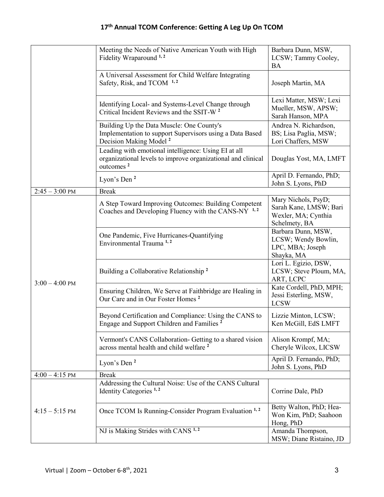|                          | Meeting the Needs of Native American Youth with High<br>Fidelity Wraparound <sup>1,2</sup>                                                    | Barbara Dunn, MSW,<br>LCSW; Tammy Cooley,<br>BA                                       |
|--------------------------|-----------------------------------------------------------------------------------------------------------------------------------------------|---------------------------------------------------------------------------------------|
|                          | A Universal Assessment for Child Welfare Integrating<br>Safety, Risk, and TCOM 1,2                                                            | Joseph Martin, MA                                                                     |
|                          | Identifying Local- and Systems-Level Change through<br>Critical Incident Reviews and the SSIT-W <sup>2</sup>                                  | Lexi Matter, MSW; Lexi<br>Mueller, MSW, APSW;<br>Sarah Hanson, MPA                    |
|                          | Building Up the Data Muscle: One County's<br>Implementation to support Supervisors using a Data Based<br>Decision Making Model <sup>2</sup>   | Andrea N. Richardson,<br>BS; Lisa Paglia, MSW;<br>Lori Chaffers, MSW                  |
|                          | Leading with emotional intelligence: Using EI at all<br>organizational levels to improve organizational and clinical<br>outcomes <sup>2</sup> | Douglas Yost, MA, LMFT                                                                |
|                          | Lyon's Den <sup>2</sup>                                                                                                                       | April D. Fernando, PhD;<br>John S. Lyons, PhD                                         |
| $2:45 - 3:00 \text{ PM}$ | <b>Break</b>                                                                                                                                  |                                                                                       |
| $3:00 - 4:00 \text{ PM}$ | A Step Toward Improving Outcomes: Building Competent<br>Coaches and Developing Fluency with the CANS-NY 1,2                                   | Mary Nichols, PsyD;<br>Sarah Kane, LMSW; Bari<br>Wexler, MA; Cynthia<br>Schelmety, BA |
|                          | One Pandemic, Five Hurricanes-Quantifying<br>Environmental Trauma <sup>1,2</sup>                                                              | Barbara Dunn, MSW,<br>LCSW; Wendy Bowlin,<br>LPC, MBA; Joseph<br>Shayka, MA           |
|                          | Building a Collaborative Relationship <sup>2</sup>                                                                                            | Lori L. Egizio, DSW,<br>LCSW; Steve Ploum, MA,<br>ART, LCPC                           |
|                          | Ensuring Children, We Serve at Faithbridge are Healing in<br>Our Care and in Our Foster Homes <sup>2</sup>                                    | Kate Cordell, PhD, MPH;<br>Jessi Esterling, MSW,<br><b>LCSW</b>                       |
|                          | Beyond Certification and Compliance: Using the CANS to<br>Engage and Support Children and Families <sup>2</sup>                               | Lizzie Minton, LCSW;<br>Ken McGill, EdS LMFT                                          |
|                          | Vermont's CANS Collaboration- Getting to a shared vision<br>across mental health and child welfare <sup>2</sup>                               | Alison Krompf, MA;<br>Cheryle Wilcox, LICSW                                           |
|                          | Lyon's Den <sup>2</sup>                                                                                                                       | April D. Fernando, PhD;<br>John S. Lyons, PhD                                         |
| $4:00 - 4:15$ PM         | <b>Break</b>                                                                                                                                  |                                                                                       |
|                          | Addressing the Cultural Noise: Use of the CANS Cultural<br>Identity Categories <sup>1,2</sup>                                                 | Corrine Dale, PhD                                                                     |
| $4:15 - 5:15$ PM         | Once TCOM Is Running-Consider Program Evaluation 1,2                                                                                          | Betty Walton, PhD; Hea-<br>Won Kim, PhD; Saahoon<br>Hong, PhD                         |
|                          | NJ is Making Strides with CANS <sup>1,2</sup>                                                                                                 | Amanda Thompson,<br>MSW; Diane Ristaino, JD                                           |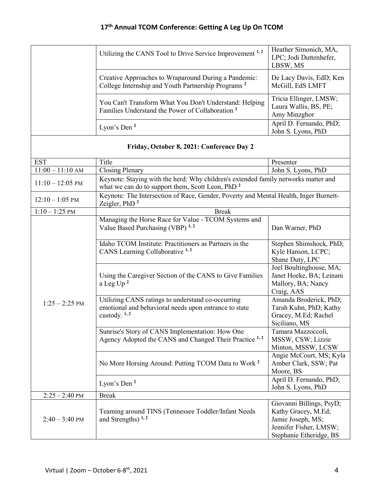| Utilizing the CANS Tool to Drive Service Improvement <sup>1, 2</sup>                                                   | Heather Simonich, MA,<br>LPC; Jodi Duttenhefer,<br>LBSW, MS     |
|------------------------------------------------------------------------------------------------------------------------|-----------------------------------------------------------------|
| Creative Approaches to Wraparound During a Pandemic:<br>College Internship and Youth Partnership Programs <sup>2</sup> | De Lacy Davis, EdD; Ken<br>McGill, EdS LMFT                     |
| You Can't Transform What You Don't Understand: Helping<br>Families Understand the Power of Collaboration <sup>2</sup>  | Tricia Ellinger, LMSW;<br>Laura Wallis, BS, PE;<br>Amy Minzghor |
| Lyon's Den $2$                                                                                                         | April D. Fernando, PhD;<br>John S. Lyons, PhD                   |

|                            | Friday, October 8, 2021: Conference Day 2                                                                                                          |                                                                                           |
|----------------------------|----------------------------------------------------------------------------------------------------------------------------------------------------|-------------------------------------------------------------------------------------------|
| <b>EST</b>                 | Title                                                                                                                                              | Presenter                                                                                 |
| $11:00 - 11:10$ AM         | <b>Closing Plenary</b>                                                                                                                             | John S. Lyons, PhD                                                                        |
| $11:10 - 12:05 \text{ PM}$ | Keynote: Staying with the herd: Why children's extended family networks matter and<br>what we can do to support them, Scott Leon, PhD <sup>2</sup> |                                                                                           |
| $12:10 - 1:05$ PM          | Keynote: The Intersection of Race, Gender, Poverty and Mental Health, Inger Burnett-<br>Zeigler, $PhD2$                                            |                                                                                           |
| $1:10 - 1:25$ PM           | <b>Break</b>                                                                                                                                       |                                                                                           |
| $1:25 - 2:25$ PM           | Managing the Horse Race for Value - TCOM Systems and<br>Value Based Purchasing (VBP) <sup>1,2</sup>                                                | Dan Warner, PhD                                                                           |
|                            | Idaho TCOM Institute: Practitioners as Partners in the<br>CANS Learning Collaborative <sup>1,2</sup>                                               | Stephen Shimshock, PhD;<br>Kyle Hanson, LCPC;<br>Shane Duty, LPC                          |
|                            | Using the Caregiver Section of the CANS to Give Families<br>a Leg Up $^2$                                                                          | Joel Boultinghouse, MA;<br>Janet Hoeke, BA; Leinani<br>Mallory, BA; Nancy<br>Craig, AAS   |
|                            | Utilizing CANS ratings to understand co-occurring<br>emotional and behavioral needs upon entrance to state<br>custody. $1, 2$                      | Amanda Broderick, PhD;<br>Tarah Kuhn, PhD; Kathy<br>Gracey, M.Ed; Rachel<br>Siciliano, MS |
|                            | Sunrise's Story of CANS Implementation: How One<br>Agency Adopted the CANS and Changed Their Practice <sup>1,2</sup>                               | Tamara Mazzoccoli,<br>MSSW, CSW; Lizzie<br>Minton, MSSW, LCSW                             |
|                            | No More Horsing Around: Putting TCOM Data to Work <sup>2</sup>                                                                                     | Angie McCourt, MS; Kyla<br>Amber Clark, SSW; Pat<br>Moore, BS                             |
|                            | Lyon's Den $^2$                                                                                                                                    | April D. Fernando, PhD;<br>John S. Lyons, PhD                                             |
| $2:25 - 2:40$ PM           | <b>Break</b>                                                                                                                                       |                                                                                           |
|                            | Teaming around TINS (Tennessee Toddler/Infant Needs                                                                                                | Giovanni Billings, PsyD;<br>Kathy Gracey, M.Ed;                                           |

and Strengths) **1, 2**

 $2:40 - 3:40$  PM

Jamie Joseph, MS; Jennifer Fisher, LMSW; Stephanie Etheridge, BS